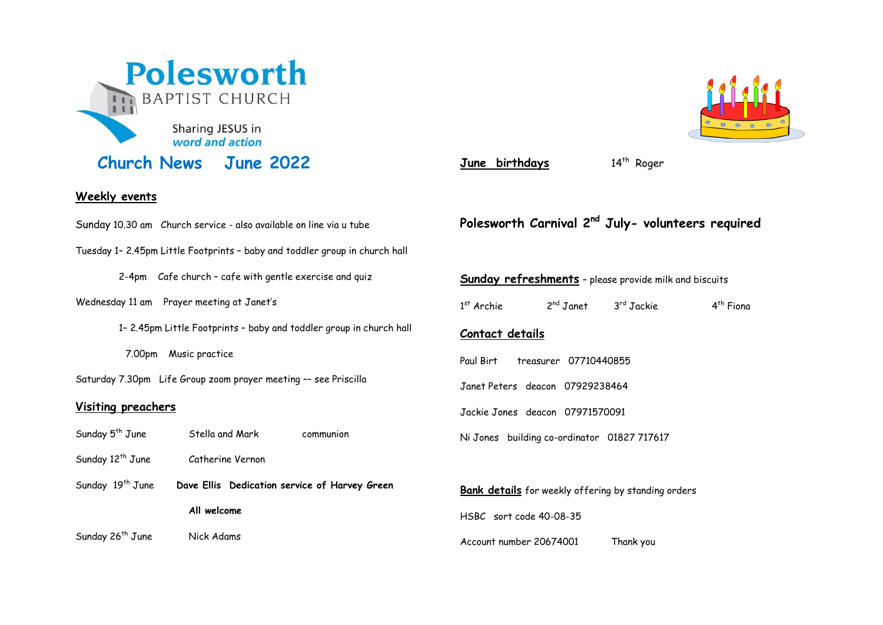

### **Weekly events**

Sunday 10.30 am Church service - also available on line via u tube

- Tuesday 1– 2.45pm Little Footprints baby and toddler group in church hall
	- 2-4pm Cafe church cafe with gentle exercise and quiz
- Wednesday 11 am Prayer meeting at Janet's
	- 1– 2.45pm Little Footprints baby and toddler group in church hall
	- 7.00pm Music practice
- Saturday 7.30pm Life Group zoom prayer meeting –– see Priscilla

#### **Visiting preachers**

- Sunday 5<sup>th</sup> June Stella and Mark communion
- Sunday 12<sup>th</sup> June Catherine Vernon
- Sunday 19<sup>th</sup> June **Dave Ellis** Dedication service of Harvey Green **All welcome**

Sunday 26<sup>th</sup> June Nick Adams



June birthdays

14<sup>th</sup> Roger

## **Polesworth Carnival 2nd July- volunteers required**

# **Sunday refreshments** – please provide milk and biscuits 1 st Archie 2  $2^{nd}$  Janet 3<sup>rd</sup> Jackie  $4<sup>th</sup>$  Fiona **Contact details** Paul Birt treasurer 07710440855 Janet Peters deacon 07929238464 Jackie Jones deacon 07971570091 Ni Jones building co-ordinator 01827 717617 **Bank details** for weekly offering by standing orders HSBC sort code 40-08-35

Account number 20674001 Thank you